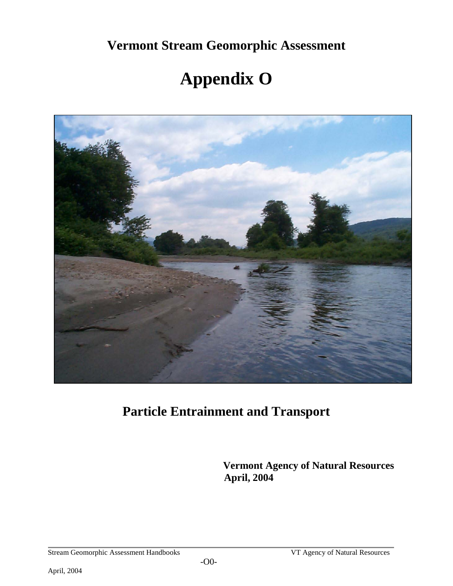**Vermont Stream Geomorphic Assessment** 

# **Appendix O**



**Particle Entrainment and Transport**

 **Vermont Agency of Natural Resources April, 2004**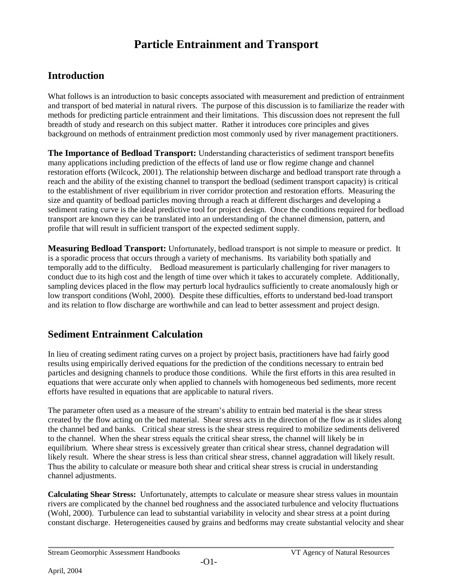# **Particle Entrainment and Transport**

# **Introduction**

What follows is an introduction to basic concepts associated with measurement and prediction of entrainment and transport of bed material in natural rivers. The purpose of this discussion is to familiarize the reader with methods for predicting particle entrainment and their limitations. This discussion does not represent the full breadth of study and research on this subject matter. Rather it introduces core principles and gives background on methods of entrainment prediction most commonly used by river management practitioners.

**The Importance of Bedload Transport:** Understanding characteristics of sediment transport benefits many applications including prediction of the effects of land use or flow regime change and channel restoration efforts (Wilcock, 2001). The relationship between discharge and bedload transport rate through a reach and the ability of the existing channel to transport the bedload (sediment transport capacity) is critical to the establishment of river equilibrium in river corridor protection and restoration efforts. Measuring the size and quantity of bedload particles moving through a reach at different discharges and developing a sediment rating curve is the ideal predictive tool for project design. Once the conditions required for bedload transport are known they can be translated into an understanding of the channel dimension, pattern, and profile that will result in sufficient transport of the expected sediment supply.

**Measuring Bedload Transport:** Unfortunately, bedload transport is not simple to measure or predict. It is a sporadic process that occurs through a variety of mechanisms. Its variability both spatially and temporally add to the difficulty. Bedload measurement is particularly challenging for river managers to conduct due to its high cost and the length of time over which it takes to accurately complete. Additionally, sampling devices placed in the flow may perturb local hydraulics sufficiently to create anomalously high or low transport conditions (Wohl, 2000). Despite these difficulties, efforts to understand bed-load transport and its relation to flow discharge are worthwhile and can lead to better assessment and project design.

# **Sediment Entrainment Calculation**

In lieu of creating sediment rating curves on a project by project basis, practitioners have had fairly good results using empirically derived equations for the prediction of the conditions necessary to entrain bed particles and designing channels to produce those conditions. While the first efforts in this area resulted in equations that were accurate only when applied to channels with homogeneous bed sediments, more recent efforts have resulted in equations that are applicable to natural rivers.

The parameter often used as a measure of the stream's ability to entrain bed material is the shear stress created by the flow acting on the bed material. Shear stress acts in the direction of the flow as it slides along the channel bed and banks.Critical shear stress is the shear stress required to mobilize sediments delivered to the channel. When the shear stress equals the critical shear stress, the channel will likely be in equilibrium. Where shear stress is excessively greater than critical shear stress, channel degradation will likely result. Where the shear stress is less than critical shear stress, channel aggradation will likely result. Thus the ability to calculate or measure both shear and critical shear stress is crucial in understanding channel adjustments.

**Calculating Shear Stress:** Unfortunately, attempts to calculate or measure shear stress values in mountain rivers are complicated by the channel bed roughness and the associated turbulence and velocity fluctuations (Wohl, 2000). Turbulence can lead to substantial variability in velocity and shear stress at a point during constant discharge. Heterogeneities caused by grains and bedforms may create substantial velocity and shear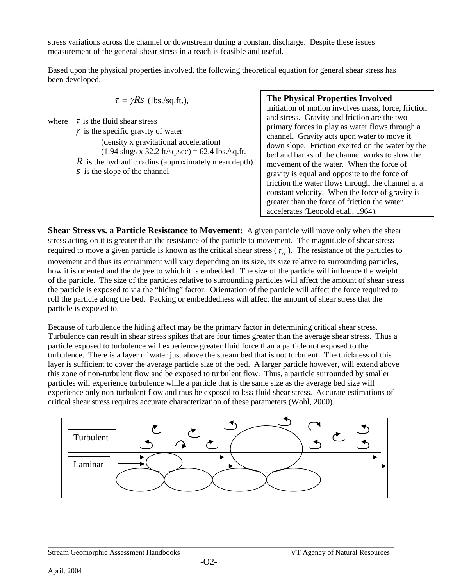stress variations across the channel or downstream during a constant discharge. Despite these issues measurement of the general shear stress in a reach is feasible and useful.

Based upon the physical properties involved, the following theoretical equation for general shear stress has been developed.

$$
\tau = \gamma Rs
$$
 (lbs./sq.fit.),

where  $\tau$  is the fluid shear stress

 $\gamma$  is the specific gravity of water (density x gravitational acceleration)  $(1.94 \text{ slugs x } 32.2 \text{ ft/sq/sec}) = 62.4 \text{ lbs./sq.fit}.$ *R* is the hydraulic radius (approximately mean depth) *s* is the slope of the channel

#### **The Physical Properties Involved**

Initiation of motion involves mass, force, friction and stress. Gravity and friction are the two primary forces in play as water flows through a channel. Gravity acts upon water to move it down slope. Friction exerted on the water by the bed and banks of the channel works to slow the movement of the water. When the force of gravity is equal and opposite to the force of friction the water flows through the channel at a constant velocity. When the force of gravity is greater than the force of friction the water accelerates (Leopold et.al., 1964).

**Shear Stress vs. a Particle Resistance to Movement:** A given particle will move only when the shear stress acting on it is greater than the resistance of the particle to movement. The magnitude of shear stress required to move a given particle is known as the critical shear stress  $(\tau_{cr})$ . The resistance of the particles to movement and thus its entrainment will vary depending on its size, its size relative to surrounding particles, how it is oriented and the degree to which it is embedded. The size of the particle will influence the weight of the particle. The size of the particles relative to surrounding particles will affect the amount of shear stress the particle is exposed to via the "hiding" factor. Orientation of the particle will affect the force required to roll the particle along the bed. Packing or embeddedness will affect the amount of shear stress that the particle is exposed to.

Because of turbulence the hiding affect may be the primary factor in determining critical shear stress. Turbulence can result in shear stress spikes that are four times greater than the average shear stress. Thus a particle exposed to turbulence will experience greater fluid force than a particle not exposed to the turbulence. There is a layer of water just above the stream bed that is not turbulent. The thickness of this layer is sufficient to cover the average particle size of the bed. A larger particle however, will extend above this zone of non-turbulent flow and be exposed to turbulent flow. Thus, a particle surrounded by smaller particles will experience turbulence while a particle that is the same size as the average bed size will experience only non-turbulent flow and thus be exposed to less fluid shear stress. Accurate estimations of critical shear stress requires accurate characterization of these parameters (Wohl, 2000).

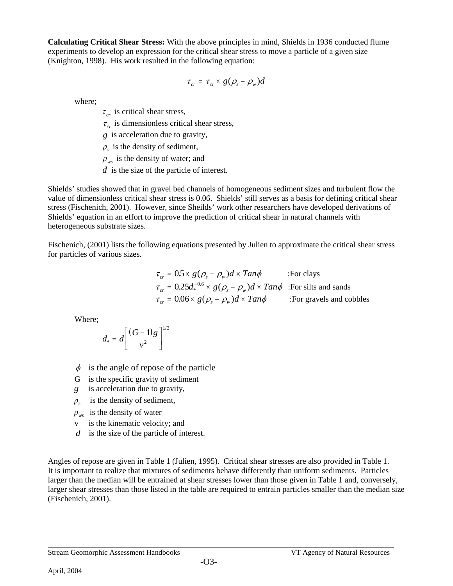**Calculating Critical Shear Stress:** With the above principles in mind, Shields in 1936 conducted flume experiments to develop an expression for the critical shear stress to move a particle of a given size (Knighton, 1998). His work resulted in the following equation:

$$
\tau_{cr} = \tau_{ci} \times g(\rho_s - \rho_w)d
$$

where;

 $\tau_{cr}$  is critical shear stress,

 $\tau_{ci}$  is dimensionless critical shear stress,

*g* is acceleration due to gravity,

 $\rho<sub>s</sub>$  is the density of sediment,

 $\rho_{ws}$  is the density of water; and

*d* is the size of the particle of interest.

Shields' studies showed that in gravel bed channels of homogeneous sediment sizes and turbulent flow the value of dimensionless critical shear stress is 0.06. Shields' still serves as a basis for defining critical shear stress (Fischenich, 2001). However, since Sheilds' work other researchers have developed derivations of Shields' equation in an effort to improve the prediction of critical shear in natural channels with heterogeneous substrate sizes.

Fischenich, (2001) lists the following equations presented by Julien to approximate the critical shear stress for particles of various sizes.

> $\tau_{cr} = 0.5 \times g(\rho_s - \rho_w) d \times Tan\phi$  :For clays  $\tau_{cr} = 0.25d_*^{-0.6} \times g(\rho_s - \rho_w)d \times Tan\phi$  :For silts and sands  $\tau_{cr} = 0.06 \times g(\rho_s - \rho_w) d \times Tan\phi$  :For gravels and cobbles

Where;

$$
d_* = d \left[ \frac{(G-1)g}{v^2} \right]^{1/3}
$$

- $\phi$  is the angle of repose of the particle
- G is the specific gravity of sediment
- *g* is acceleration due to gravity,
- $\rho_{\rm s}$  is the density of sediment,
- $\rho_{\rm ws}$  is the density of water
- v is the kinematic velocity; and
- *d* is the size of the particle of interest.

Angles of repose are given in Table 1 (Julien, 1995). Critical shear stresses are also provided in Table 1. It is important to realize that mixtures of sediments behave differently than uniform sediments. Particles larger than the median will be entrained at shear stresses lower than those given in Table 1 and, conversely, larger shear stresses than those listed in the table are required to entrain particles smaller than the median size (Fischenich, 2001).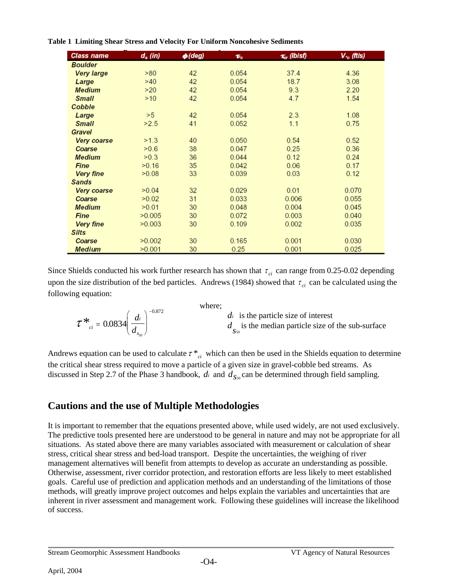#### **Table 1 Limiting Shear Stress and Velocity For Uniform Noncohesive Sediments**

| Class name     | $d_s$ (in) | $\phi$ (deg) | $\boldsymbol{\tau}_{c}$ | $\tau_{cr}$ (lb/sf) | $V_{r_c}$ (ftis) |
|----------------|------------|--------------|-------------------------|---------------------|------------------|
| <b>Boulder</b> |            |              |                         |                     |                  |
| Very large     | >80        | 42           | 0.054                   | 37.4                | 4.36             |
| Large          | >40        | 42           | 0.054                   | 18.7                | 3.08             |
| <b>Medium</b>  | >20        | 42           | 0.054                   | 9.3                 | 2.20             |
| <b>Small</b>   | >10        | 42           | 0.054                   | 4.7                 | 1.54             |
| Cobble         |            |              |                         |                     |                  |
| Large          | >5         | 42           | 0.054                   | 2.3                 | 1.08             |
| <b>Small</b>   | >2.5       | 41           | 0.052                   | 1.1                 | 0.75             |
| Gravel         |            |              |                         |                     |                  |
| Very coarse    | >1.3       | 40           | 0.050                   | 0.54                | 0.52             |
| Coarse         | >0.6       | 38           | 0.047                   | 0.25                | 0.36             |
| <b>Medium</b>  | >0.3       | 36           | 0.044                   | 0.12                | 0.24             |
| <b>Fine</b>    | >0.16      | 35           | 0.042                   | 0.06                | 0.17             |
| Very fine      | >0.08      | 33           | 0.039                   | 0.03                | 0.12             |
| <b>Sands</b>   |            |              |                         |                     |                  |
| Very coarse    | >0.04      | 32           | 0.029                   | 0.01                | 0.070            |
| Coarse         | >0.02      | 31           | 0.033                   | 0.006               | 0.055            |
| <b>Medium</b>  | >0.01      | 30           | 0.048                   | 0.004               | 0.045            |
| Fine           | >0.005     | 30           | 0.072                   | 0.003               | 0.040            |
| Very fine      | >0.003     | 30           | 0.109                   | 0.002               | 0.035            |
| <b>Silts</b>   |            |              |                         |                     |                  |
| Coarse         | >0.002     | 30           | 0.165                   | 0.001               | 0.030            |
| <b>Medium</b>  | >0.001     | 30           | 0.25                    | 0.001               | 0.025            |

Since Shields conducted his work further research has shown that  $\tau_{ci}$  can range from 0.25-0.02 depending upon the size distribution of the bed particles. Andrews (1984) showed that  $\tau_{ci}$  can be calculated using the following equation:

| $\mathcal{L}^*$ <sub>ci</sub> = 0.0834 $\left(\frac{di}{d}\right)^{-0.872}$ | where:<br>$di$ is the particle size of interest<br>$d_{\alpha}$ is the median particle size of the sub-surface |
|-----------------------------------------------------------------------------|----------------------------------------------------------------------------------------------------------------|
|                                                                             |                                                                                                                |

Andrews equation can be used to calculate  $\tau$ <sup>\*</sup><sub>*ci*</sub> which can then be used in the Shields equation to determine the critical shear stress required to move a particle of a given size in gravel-cobble bed streams. As discussed in Step 2.7 of the Phase 3 handbook,  $d_i$  and  $d_{S<sub>50</sub>}$  can be determined through field sampling.

# **Cautions and the use of Multiple Methodologies**

It is important to remember that the equations presented above, while used widely, are not used exclusively. The predictive tools presented here are understood to be general in nature and may not be appropriate for all situations. As stated above there are many variables associated with measurement or calculation of shear stress, critical shear stress and bed-load transport. Despite the uncertainties, the weighing of river management alternatives will benefit from attempts to develop as accurate an understanding as possible. Otherwise, assessment, river corridor protection, and restoration efforts are less likely to meet established goals. Careful use of prediction and application methods and an understanding of the limitations of those methods, will greatly improve project outcomes and helps explain the variables and uncertainties that are inherent in river assessment and management work. Following these guidelines will increase the likelihood of success.